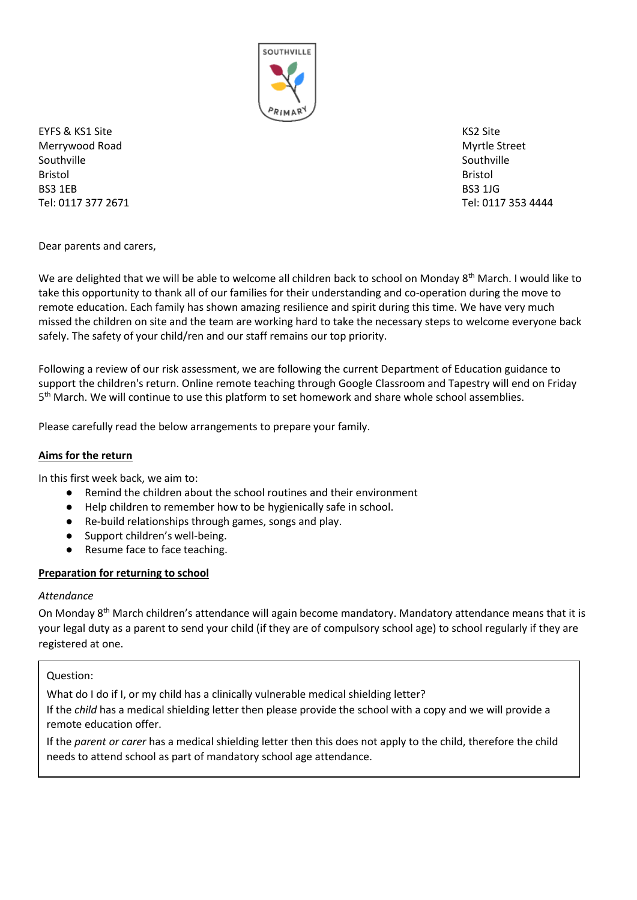

EYFS & KS1 Site KS2 Site KS2 Site KS2 Site KS2 Site KS2 Site KS2 Site KS2 Site Merrywood Road Myrtle Street Southville Southville Southville Southville Bristol Bristol BS3 1EB BS3 1JG Tel: 0117 377 2671 Tel: 0117 353 4444

Dear parents and carers,

We are delighted that we will be able to welcome all children back to school on Monday 8<sup>th</sup> March. I would like to take this opportunity to thank all of our families for their understanding and co-operation during the move to remote education. Each family has shown amazing resilience and spirit during this time. We have very much missed the children on site and the team are working hard to take the necessary steps to welcome everyone back safely. The safety of your child/ren and our staff remains our top priority.

Following a review of our risk assessment, we are following the current Department of Education guidance to support the children's return. Online remote teaching through Google Classroom and Tapestry will end on Friday 5<sup>th</sup> March. We will continue to use this platform to set homework and share whole school assemblies.

Please carefully read the below arrangements to prepare your family.

## **Aims for the return**

In this first week back, we aim to:

- Remind the children about the school routines and their environment
- Help children to remember how to be hygienically safe in school.
- Re-build relationships through games, songs and play.
- Support children's well-being.
- Resume face to face teaching.

## **Preparation for returning to school**

## *Attendance*

On Monday 8<sup>th</sup> March children's attendance will again become mandatory. Mandatory attendance means that it is your legal duty as a parent to send your child (if they are of compulsory school age) to school regularly if they are registered at one.

Question:

What do I do if I, or my child has a clinically vulnerable medical shielding letter? If the *child* has a medical shielding letter then please provide the school with a copy and we will provide a remote education offer.

If the *parent or carer* has a medical shielding letter then this does not apply to the child, therefore the child needs to attend school as part of mandatory school age attendance.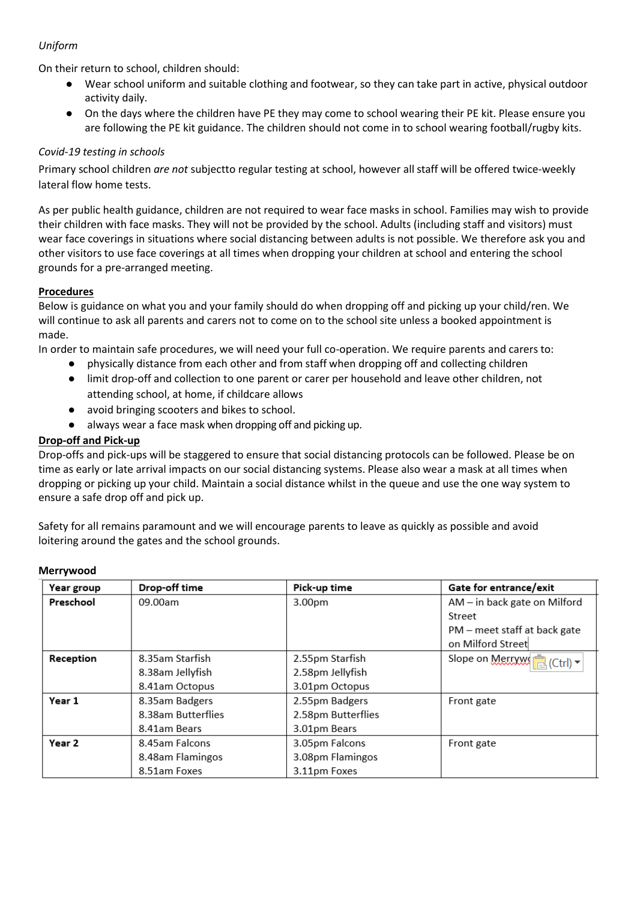# *Uniform*

On their return to school, children should:

- Wear school uniform and suitable clothing and footwear, so they can take part in active, physical outdoor activity daily.
- On the days where the children have PE they may come to school wearing their PE kit. Please ensure you are following the PE kit guidance. The children should not come in to school wearing football/rugby kits.

### *Covid-19 testing in schools*

Primary school children *are not* subjectto regular testing at school, however all staff will be offered twice-weekly lateral flow home tests.

As per public health guidance, children are not required to wear face masks in school. Families may wish to provide their children with face masks. They will not be provided by the school. Adults (including staff and visitors) must wear face coverings in situations where social distancing between adults is not possible. We therefore ask you and other visitors to use face coverings at all times when dropping your children at school and entering the school grounds for a pre-arranged meeting.

#### **Procedures**

Below is guidance on what you and your family should do when dropping off and picking up your child/ren. We will continue to ask all parents and carers not to come on to the school site unless a booked appointment is made.

In order to maintain safe procedures, we will need your full co-operation. We require parents and carers to:

- physically distance from each other and from staff when dropping off and collecting children
- limit drop-off and collection to one parent or carer per household and leave other children, not attending school, at home, if childcare allows
- avoid bringing scooters and bikes to school.
- always wear a face mask when dropping off and picking up.

#### **Drop-off and Pick-up**

Drop-offs and pick-ups will be staggered to ensure that social distancing protocols can be followed. Please be on time as early or late arrival impacts on our social distancing systems. Please also wear a mask at all times when dropping or picking up your child. Maintain a social distance whilst in the queue and use the one way system to ensure a safe drop off and pick up.

Safety for all remains paramount and we will encourage parents to leave as quickly as possible and avoid loitering around the gates and the school grounds.

| Year group | Drop-off time      | Pick-up time       | Gate for entrance/exit       |
|------------|--------------------|--------------------|------------------------------|
| Preschool  | 09.00am            | 3.00pm             | AM - in back gate on Milford |
|            |                    |                    | Street                       |
|            |                    |                    | PM – meet staff at back gate |
|            |                    |                    | on Milford Street            |
| Reception  | 8.35am Starfish    | 2.55pm Starfish    | Slope on Merryw<br>(Ctr)     |
|            | 8.38am Jellyfish   | 2.58pm Jellyfish   |                              |
|            | 8.41am Octopus     | 3.01pm Octopus     |                              |
| Year 1     | 8.35am Badgers     | 2.55pm Badgers     | Front gate                   |
|            | 8.38am Butterflies | 2.58pm Butterflies |                              |
|            | 8.41am Bears       | 3.01pm Bears       |                              |
| Year 2     | 8.45am Falcons     | 3.05pm Falcons     | Front gate                   |
|            | 8.48am Flamingos   | 3.08pm Flamingos   |                              |
|            | 8.51am Foxes       | 3.11pm Foxes       |                              |

#### **Merrywood**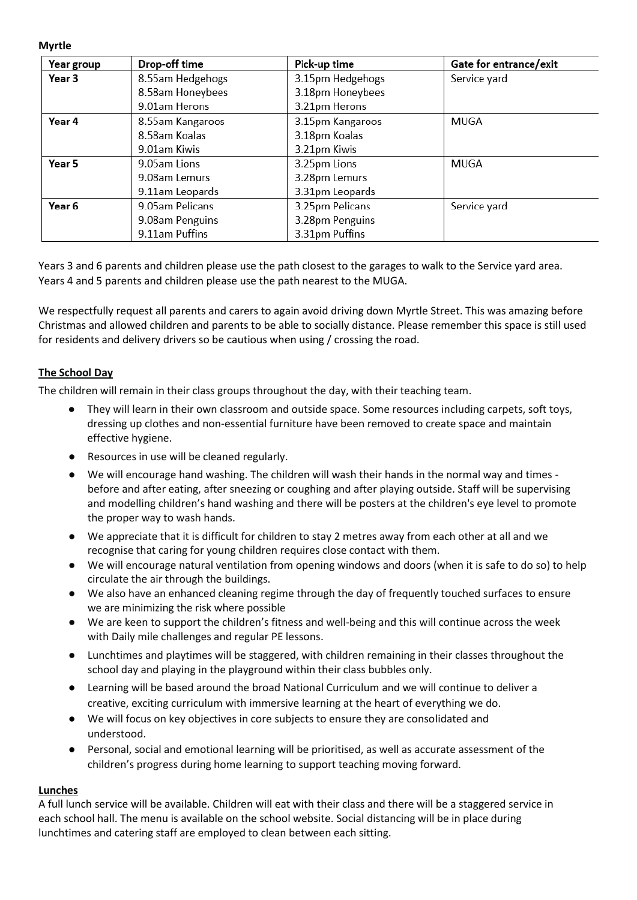**Myrtle**

| Year group | Drop-off time    | Pick-up time     | Gate for entrance/exit |
|------------|------------------|------------------|------------------------|
| Year 3     | 8.55am Hedgehogs | 3.15pm Hedgehogs | Service yard           |
|            | 8.58am Honeybees | 3.18pm Honeybees |                        |
|            | 9.01am Herons    | 3.21pm Herons    |                        |
| Year 4     | 8.55am Kangaroos | 3.15pm Kangaroos | <b>MUGA</b>            |
|            | 8.58am Koalas    | 3.18pm Koalas    |                        |
|            | 9.01am Kiwis     | 3.21pm Kiwis     |                        |
| Year 5     | 9.05am Lions     | 3.25pm Lions     | <b>MUGA</b>            |
|            | 9.08am Lemurs    | 3.28pm Lemurs    |                        |
|            | 9.11am Leopards  | 3.31pm Leopards  |                        |
| Year 6     | 9.05am Pelicans  | 3.25pm Pelicans  | Service yard           |
|            | 9.08am Penguins  | 3.28pm Penguins  |                        |
|            | 9.11am Puffins   | 3.31pm Puffins   |                        |

Years 3 and 6 parents and children please use the path closest to the garages to walk to the Service yard area. Years 4 and 5 parents and children please use the path nearest to the MUGA.

We respectfully request all parents and carers to again avoid driving down Myrtle Street. This was amazing before Christmas and allowed children and parents to be able to socially distance. Please remember this space is still used for residents and delivery drivers so be cautious when using / crossing the road.

## **The School Day**

The children will remain in their class groups throughout the day, with their teaching team.

- They will learn in their own classroom and outside space. Some resources including carpets, soft toys, dressing up clothes and non-essential furniture have been removed to create space and maintain effective hygiene.
- Resources in use will be cleaned regularly.
- We will encourage hand washing. The children will wash their hands in the normal way and times before and after eating, after sneezing or coughing and after playing outside. Staff will be supervising and modelling children's hand washing and there will be posters at the children's eye level to promote the proper way to wash hands.
- We appreciate that it is difficult for children to stay 2 metres away from each other at all and we recognise that caring for young children requires close contact with them.
- We will encourage natural ventilation from opening windows and doors (when it is safe to do so) to help circulate the air through the buildings.
- We also have an enhanced cleaning regime through the day of frequently touched surfaces to ensure we are minimizing the risk where possible
- We are keen to support the children's fitness and well-being and this will continue across the week with Daily mile challenges and regular PE lessons.
- Lunchtimes and playtimes will be staggered, with children remaining in their classes throughout the school day and playing in the playground within their class bubbles only.
- Learning will be based around the broad National Curriculum and we will continue to deliver a creative, exciting curriculum with immersive learning at the heart of everything we do.
- We will focus on key objectives in core subjects to ensure they are consolidated and understood.
- Personal, social and emotional learning will be prioritised, as well as accurate assessment of the children's progress during home learning to support teaching moving forward.

## **Lunches**

A full lunch service will be available. Children will eat with their class and there will be a staggered service in each school hall. The menu is available on the school website. Social distancing will be in place during lunchtimes and catering staff are employed to clean between each sitting.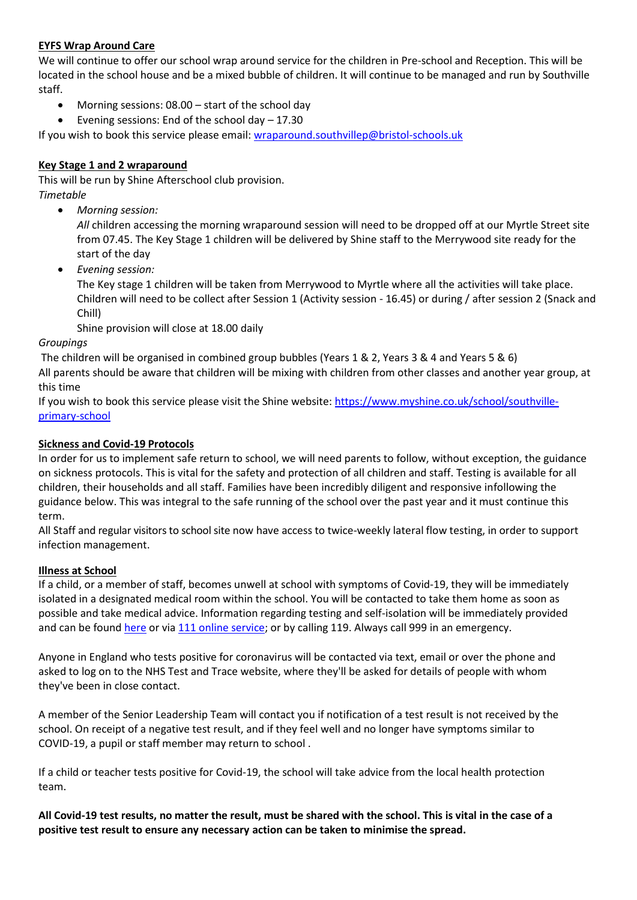## **EYFS Wrap Around Care**

We will continue to offer our school wrap around service for the children in Pre-school and Reception. This will be located in the school house and be a mixed bubble of children. It will continue to be managed and run by Southville staff.

- Morning sessions: 08.00 start of the school day
- Evening sessions: End of the school day 17.30

If you wish to book this service please email: [wraparound.southvillep@bristol-schools.uk](mailto:wraparound.southvillep@bristol-schools.uk)

## **Key Stage 1 and 2 wraparound**

This will be run by Shine Afterschool club provision. *Timetable*

*Morning session:*

*All* children accessing the morning wraparound session will need to be dropped off at our Myrtle Street site from 07.45. The Key Stage 1 children will be delivered by Shine staff to the Merrywood site ready for the start of the day

*Evening session:*

The Key stage 1 children will be taken from Merrywood to Myrtle where all the activities will take place. Children will need to be collect after Session 1 (Activity session - 16.45) or during / after session 2 (Snack and Chill)

Shine provision will close at 18.00 daily

## *Groupings*

The children will be organised in combined group bubbles (Years 1 & 2, Years 3 & 4 and Years 5 & 6)

All parents should be aware that children will be mixing with children from other classes and another year group, at this time

If you wish to book this service please visit the Shine website: [https://www.myshine.co.uk/school/southville](https://www.myshine.co.uk/school/southville-primary-school)[primary-school](https://www.myshine.co.uk/school/southville-primary-school)

# **Sickness and Covid-19 Protocols**

In order for us to implement safe return to school, we will need parents to follow, without exception, the guidance on sickness protocols. This is vital for the safety and protection of all children and staff. Testing is available for all children, their households and all staff. Families have been incredibly diligent and responsive infollowing the guidance below. This was integral to the safe running of the school over the past year and it must continue this term.

All Staff and regular visitors to school site now have access to twice-weekly lateral flow testing, in order to support infection management.

## **Illness at School**

If a child, or a member of staff, becomes unwell at school with symptoms of Covid-19, they will be immediately isolated in a designated medical room within the school. You will be contacted to take them home as soon as possible and take medical advice. Information regarding testing and self-isolation will be immediately provided and can be found [here](https://www.gov.uk/guidance/coronavirus-covid-19-getting-tested) or vi[a 111 online service;](https://111.nhs.uk/covid-19) or by calling 119. Always call 999 in an emergency.

Anyone in England who tests positive for coronavirus will be contacted via text, email or over the phone and asked to log on to the NHS Test and Trace website, where they'll be asked for details of people with whom they've been in close contact.

A member of the Senior Leadership Team will contact you if notification of a test result is not received by the school. On receipt of a negative test result, and if they feel well and no longer have symptoms similar to COVID-19, a pupil or staff member may return to school .

If a child or teacher tests positive for Covid-19, the school will take advice from the local health protection team.

**All Covid-19 test results, no matter the result, must be shared with the school. This is vital in the case of a positive test result to ensure any necessary action can be taken to minimise the spread.**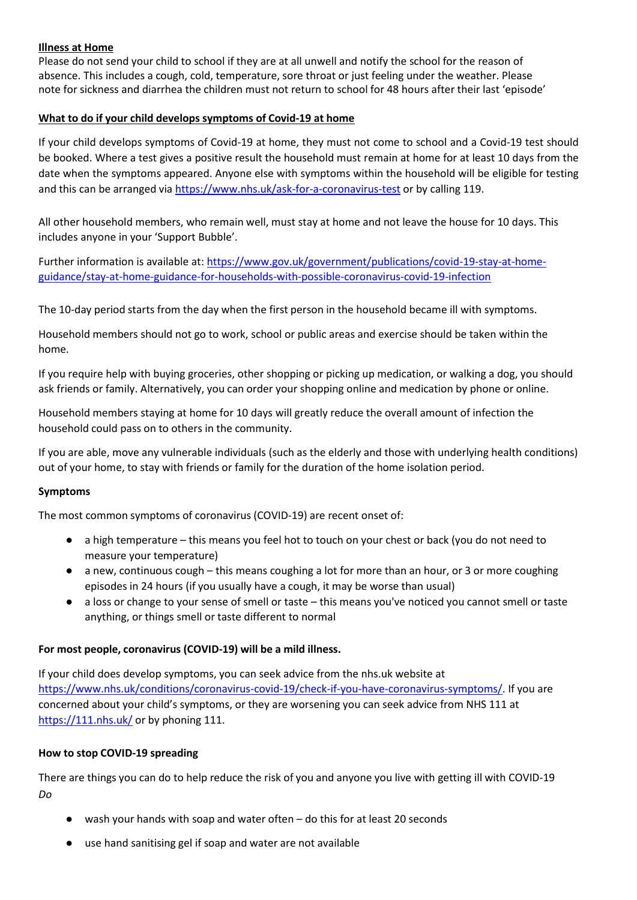#### **Illness at Home**

Please do not send your child to school if they are at all unwell and notify the school for the reason of absence. This includes a cough, cold, temperature, sore throat or just feeling under the weather. Please note for sickness and diarrhea the children must not return to school for 48 hours after their last 'episode'

#### **What to do if your child develops symptoms of Covid-19 at home**

If your child develops symptoms of Covid-19 at home, they must not come to school and a Covid-19 test should be booked. Where a test gives a positive result the household must remain at home for at least 10 days from the date when the symptoms appeared. Anyone else with symptoms within the household will be eligible for testing and this can be arranged via <https://www.nhs.uk/ask-for-a-coronavirus-test> or by calling 119.

All other household members, who remain well, must stay at home and not leave the house for 10 days. This includes anyone in your 'Support Bubble'.

Further information is available at: [https://www.gov.uk/government/publications/covid-19-stay-at-home](https://www.gov.uk/government/publications/covid-19-stay-at-home-guidance/stay-at-home-guidance-for-households-with-possible-coronavirus-covid-19-infection)[guidance/stay-at-home-guidance-for-households-with-possible-coronavirus-covid-19-infection](https://www.gov.uk/government/publications/covid-19-stay-at-home-guidance/stay-at-home-guidance-for-households-with-possible-coronavirus-covid-19-infection)

The 10-day period starts from the day when the first person in the household became ill with symptoms.

Household members should not go to work, school or public areas and exercise should be taken within the home.

If you require help with buying groceries, other shopping or picking up medication, or walking a dog, you should ask friends or family. Alternatively, you can order your shopping online and medication by phone or online.

Household members staying at home for 10 days will greatly reduce the overall amount of infection the household could pass on to others in the community.

If you are able, move any vulnerable individuals (such as the elderly and those with underlying health conditions) out of your home, to stay with friends or family for the duration of the home isolation period.

#### **Symptoms**

The most common symptoms of coronavirus (COVID-19) are recent onset of:

- a high temperature this means you feel hot to touch on your chest or back (you do not need to measure your temperature)
- a new, continuous cough this means coughing a lot for more than an hour, or 3 or more coughing episodes in 24 hours (if you usually have a cough, it may be worse than usual)
- a loss or change to your sense of smell or taste this means you've noticed you cannot smell or taste anything, or things smell or taste different to normal

## **For most people, coronavirus (COVID-19) will be a mild illness.**

If your child does develop symptoms, you can seek advice from the nhs.uk website at [https://www.nhs.uk/conditions/coronavirus-covid-19/check-if-you-have-coronavirus-symptoms/.](https://www.nhs.uk/conditions/coronavirus-covid-19/check-if-you-have-coronavirus-symptoms/) If you are concerned about your child's symptoms, or they are worsening you can seek advice from NHS 111 at <https://111.nhs.uk/> or by phoning 111.

#### **How to stop COVID-19 spreading**

There are things you can do to help reduce the risk of you and anyone you live with getting ill with COVID-19 *Do*

- wash your hands with soap and water often do this for at least 20 seconds
- use hand sanitising gel if soap and water are not available